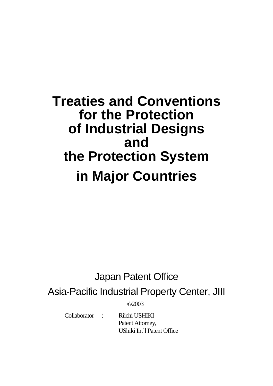# **Treaties and Conventions for the Protection of Industrial Designs and the Protection System in Major Countries**

## Japan Patent Office

Asia-Pacific Industrial Property Center, JIII

©2003

 Collaborator : Riichi USHIKI Patent Attorney, UShiki Int'l Patent Office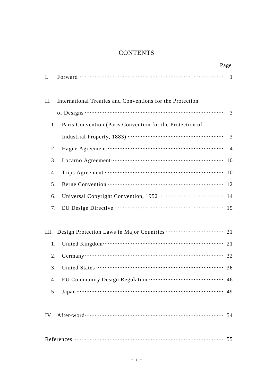## **CONTENTS**

|      |                                                                                                                                                                                                                               | Page           |
|------|-------------------------------------------------------------------------------------------------------------------------------------------------------------------------------------------------------------------------------|----------------|
| Ι.   |                                                                                                                                                                                                                               | $\overline{1}$ |
| II.  | International Treaties and Conventions for the Protection                                                                                                                                                                     |                |
|      |                                                                                                                                                                                                                               | $\overline{3}$ |
| 1.   | Paris Convention (Paris Convention for the Protection of                                                                                                                                                                      |                |
|      |                                                                                                                                                                                                                               |                |
| 2.   |                                                                                                                                                                                                                               |                |
| 3.   | Locarno Agreement (10) and the state of the state of the state of the state of the state of the state of the state of the state of the state of the state of the state of the state of the state of the state of the state of |                |
| 4.   |                                                                                                                                                                                                                               | 10             |
| 5.   |                                                                                                                                                                                                                               |                |
| 6.   |                                                                                                                                                                                                                               |                |
| 7.   |                                                                                                                                                                                                                               |                |
| III. |                                                                                                                                                                                                                               |                |
| 1.   |                                                                                                                                                                                                                               | 21             |
| 2.   |                                                                                                                                                                                                                               | 32             |
| 3.   |                                                                                                                                                                                                                               | 36             |
| 4.   |                                                                                                                                                                                                                               | 46             |
| 5.   |                                                                                                                                                                                                                               | 49             |
|      |                                                                                                                                                                                                                               |                |
|      |                                                                                                                                                                                                                               |                |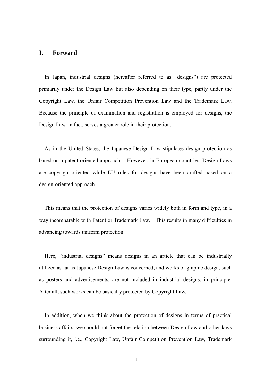#### **I. Forward**

In Japan, industrial designs (hereafter referred to as "designs") are protected primarily under the Design Law but also depending on their type, partly under the Copyright Law, the Unfair Competition Prevention Law and the Trademark Law. Because the principle of examination and registration is employed for designs, the Design Law, in fact, serves a greater role in their protection.

As in the United States, the Japanese Design Law stipulates design protection as based on a patent-oriented approach. However, in European countries, Design Laws are copyright-oriented while EU rules for designs have been drafted based on a design-oriented approach.

This means that the protection of designs varies widely both in form and type, in a way incomparable with Patent or Trademark Law. This results in many difficulties in advancing towards uniform protection.

Here, "industrial designs" means designs in an article that can be industrially utilized as far as Japanese Design Law is concerned, and works of graphic design, such as posters and advertisements, are not included in industrial designs, in principle. After all, such works can be basically protected by Copyright Law.

In addition, when we think about the protection of designs in terms of practical business affairs, we should not forget the relation between Design Law and other laws surrounding it, i.e., Copyright Law, Unfair Competition Prevention Law, Trademark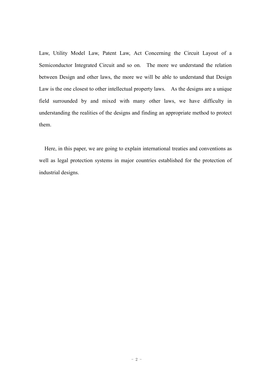Law, Utility Model Law, Patent Law, Act Concerning the Circuit Layout of a Semiconductor Integrated Circuit and so on. The more we understand the relation between Design and other laws, the more we will be able to understand that Design Law is the one closest to other intellectual property laws. As the designs are a unique field surrounded by and mixed with many other laws, we have difficulty in understanding the realities of the designs and finding an appropriate method to protect them.

Here, in this paper, we are going to explain international treaties and conventions as well as legal protection systems in major countries established for the protection of industrial designs.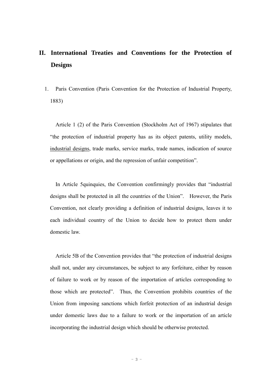## **II. International Treaties and Conventions for the Protection of Designs**

1. Paris Convention (Paris Convention for the Protection of Industrial Property, 1883)

Article 1 (2) of the Paris Convention (Stockholm Act of 1967) stipulates that "the protection of industrial property has as its object patents, utility models, industrial designs, trade marks, service marks, trade names, indication of source or appellations or origin, and the repression of unfair competition".

In Article 5quinquies, the Convention confirmingly provides that "industrial designs shall be protected in all the countries of the Union". However, the Paris Convention, not clearly providing a definition of industrial designs, leaves it to each individual country of the Union to decide how to protect them under domestic law.

Article 5B of the Convention provides that "the protection of industrial designs shall not, under any circumstances, be subject to any forfeiture, either by reason of failure to work or by reason of the importation of articles corresponding to those which are protected". Thus, the Convention prohibits countries of the Union from imposing sanctions which forfeit protection of an industrial design under domestic laws due to a failure to work or the importation of an article incorporating the industrial design which should be otherwise protected.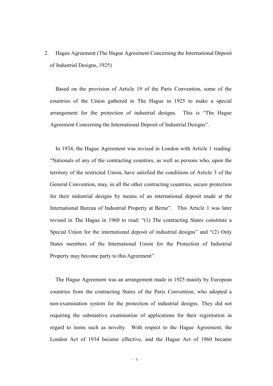2. Hague Agreement (The Hague Agreement Concerning the International Deposit of Industrial Designs, 1925)

Based on the provision of Article 19 of the Paris Convention, some of the countries of the Union gathered in The Hague in 1925 to make a special arrangement for the protection of industrial designs. This is "The Hague Agreement Concerning the International Deposit of Industrial Designs".

In 1934, the Hague Agreement was revised in London with Article 1 reading: "Nationals of any of the contracting countries, as well as persons who, upon the territory of the restricted Union, have satisfied the conditions of Article 3 of the General Convention, may, in all the other contracting countries, secure protection for their industrial designs by means of an international deposit made at the International Bureau of Industrial Property at Berne". This Article 1 was later revised in The Hague in 1960 to read: "(1) The contracting States constitute a Special Union for the international deposit of industrial designs" and "(2) Only States members of the International Union for the Protection of Industrial Property may become party to this Agreement".

The Hague Agreement was an arrangement made in 1925 mainly by European countries from the contracting States of the Paris Convention, who adopted a non-examination system for the protection of industrial designs. They did not requiring the substantive examination of applications for their registration in regard to items such as novelty. With respect to the Hague Agreement, the London Act of 1934 became effective, and the Hague Act of 1960 became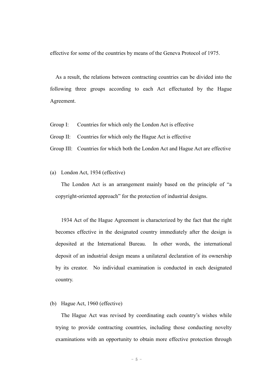effective for some of the countries by means of the Geneva Protocol of 1975.

As a result, the relations between contracting countries can be divided into the following three groups according to each Act effectuated by the Hague Agreement.

- Group I: Countries for which only the London Act is effective
- Group II: Countries for which only the Hague Act is effective
- Group III: Countries for which both the London Act and Hague Act are effective

#### (a) London Act, 1934 (effective)

The London Act is an arrangement mainly based on the principle of "a copyright-oriented approach" for the protection of industrial designs.

1934 Act of the Hague Agreement is characterized by the fact that the right becomes effective in the designated country immediately after the design is deposited at the International Bureau. In other words, the international deposit of an industrial design means a unilateral declaration of its ownership by its creator. No individual examination is conducted in each designated country.

#### (b) Hague Act, 1960 (effective)

The Hague Act was revised by coordinating each country's wishes while trying to provide contracting countries, including those conducting novelty examinations with an opportunity to obtain more effective protection through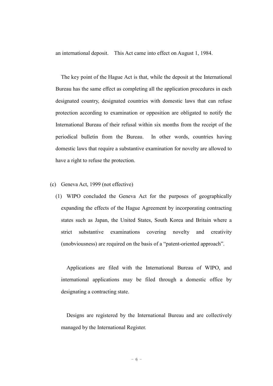an international deposit. This Act came into effect on August 1, 1984.

The key point of the Hague Act is that, while the deposit at the International Bureau has the same effect as completing all the application procedures in each designated country, designated countries with domestic laws that can refuse protection according to examination or opposition are obligated to notify the International Bureau of their refusal within six months from the receipt of the periodical bulletin from the Bureau. In other words, countries having domestic laws that require a substantive examination for novelty are allowed to have a right to refuse the protection.

- (c) Geneva Act, 1999 (not effective)
	- (1) WIPO concluded the Geneva Act for the purposes of geographically expanding the effects of the Hague Agreement by incorporating contracting states such as Japan, the United States, South Korea and Britain where a strict substantive examinations covering novelty and creativity (unobviousness) are required on the basis of a "patent-oriented approach".

Applications are filed with the International Bureau of WIPO, and international applications may be filed through a domestic office by designating a contracting state.

Designs are registered by the International Bureau and are collectively managed by the International Register.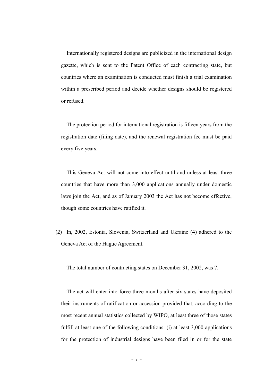Internationally registered designs are publicized in the international design gazette, which is sent to the Patent Office of each contracting state, but countries where an examination is conducted must finish a trial examination within a prescribed period and decide whether designs should be registered or refused.

The protection period for international registration is fifteen years from the registration date (filing date), and the renewal registration fee must be paid every five years.

This Geneva Act will not come into effect until and unless at least three countries that have more than 3,000 applications annually under domestic laws join the Act, and as of January 2003 the Act has not become effective, though some countries have ratified it.

(2) In, 2002, Estonia, Slovenia, Switzerland and Ukraine (4) adhered to the Geneva Act of the Hague Agreement.

The total number of contracting states on December 31, 2002, was 7.

The act will enter into force three months after six states have deposited their instruments of ratification or accession provided that, according to the most recent annual statistics collected by WIPO, at least three of those states fulfill at least one of the following conditions: (i) at least 3,000 applications for the protection of industrial designs have been filed in or for the state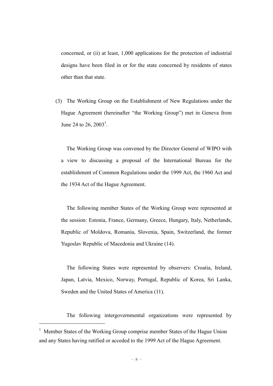concerned, or (ii) at least, 1,000 applications for the protection of industrial designs have been filed in or for the state concerned by residents of states other than that state.

(3) The Working Group on the Establishment of New Regulations under the Hague Agreement (hereinafter "the Working Group") met in Geneva from June 24 to 26,  $2003^1$ .

The Working Group was convened by the Director General of WIPO with a view to discussing a proposal of the International Bureau for the establishment of Common Regulations under the 1999 Act, the 1960 Act and the 1934 Act of the Hague Agreement.

The following member States of the Working Group were represented at the session: Estonia, France, Germany, Greece, Hungary, Italy, Netherlands, Republic of Moldova, Romania, Slovenia, Spain, Switzerland, the former Yugoslav Republic of Macedonia and Ukraine (14).

The following States were represented by observers: Croatia, Ireland, Japan, Latvia, Mexico, Norway, Portugal, Republic of Korea, Sri Lanka, Sweden and the United States of America (11).

The following intergovernmental organizations were represented by

 $\overline{a}$ 

<sup>&</sup>lt;sup>1</sup> Member States of the Working Group comprise member States of the Hague Union and any States having ratified or acceded to the 1999 Act of the Hague Agreement.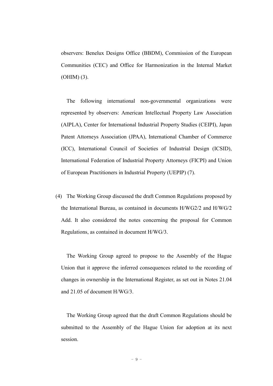observers: Benelux Designs Office (BBDM), Commission of the European Communities (CEC) and Office for Harmonization in the Internal Market (OHIM) (3).

The following international non-governmental organizations were represented by observers: American Intellectual Property Law Association (AIPLA), Center for International Industrial Property Studies (CEIPI), Japan Patent Attorneys Association (JPAA), International Chamber of Commerce (ICC), International Council of Societies of Industrial Design (ICSID), International Federation of Industrial Property Attorneys (FICPI) and Union of European Practitioners in Industrial Property (UEPIP) (7).

(4) The Working Group discussed the draft Common Regulations proposed by the International Bureau, as contained in documents H/WG2/2 and H/WG/2 Add. It also considered the notes concerning the proposal for Common Regulations, as contained in document H/WG/3.

The Working Group agreed to propose to the Assembly of the Hague Union that it approve the inferred consequences related to the recording of changes in ownership in the International Register, as set out in Notes 21.04 and 21.05 of document H/WG/3.

The Working Group agreed that the draft Common Regulations should be submitted to the Assembly of the Hague Union for adoption at its next session.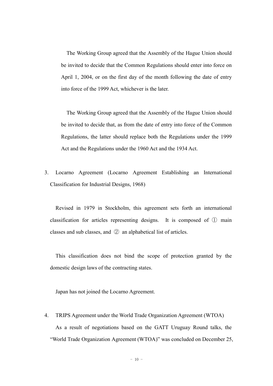The Working Group agreed that the Assembly of the Hague Union should be invited to decide that the Common Regulations should enter into force on April 1, 2004, or on the first day of the month following the date of entry into force of the 1999 Act, whichever is the later.

The Working Group agreed that the Assembly of the Hague Union should be invited to decide that, as from the date of entry into force of the Common Regulations, the latter should replace both the Regulations under the 1999 Act and the Regulations under the 1960 Act and the 1934 Act.

3. Locarno Agreement (Locarno Agreement Establishing an International Classification for Industrial Designs, 1968)

Revised in 1979 in Stockholm, this agreement sets forth an international classification for articles representing designs. It is composed of ① main classes and sub classes, and ② an alphabetical list of articles.

This classification does not bind the scope of protection granted by the domestic design laws of the contracting states.

Japan has not joined the Locarno Agreement.

4. TRIPS Agreement under the World Trade Organization Agreement (WTOA) As a result of negotiations based on the GATT Uruguay Round talks, the "World Trade Organization Agreement (WTOA)" was concluded on December 25,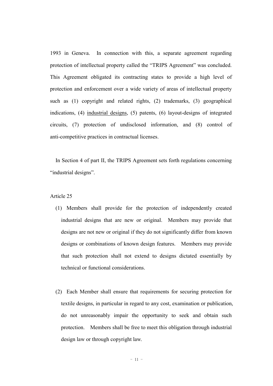1993 in Geneva. In connection with this, a separate agreement regarding protection of intellectual property called the "TRIPS Agreement" was concluded. This Agreement obligated its contracting states to provide a high level of protection and enforcement over a wide variety of areas of intellectual property such as (1) copyright and related rights, (2) trademarks, (3) geographical indications, (4) industrial designs, (5) patents, (6) layout-designs of integrated circuits, (7) protection of undisclosed information, and (8) control of anti-competitive practices in contractual licenses.

In Section 4 of part II, the TRIPS Agreement sets forth regulations concerning "industrial designs".

#### Article 25

- (1) Members shall provide for the protection of independently created industrial designs that are new or original. Members may provide that designs are not new or original if they do not significantly differ from known designs or combinations of known design features. Members may provide that such protection shall not extend to designs dictated essentially by technical or functional considerations.
- (2) Each Member shall ensure that requirements for securing protection for textile designs, in particular in regard to any cost, examination or publication, do not unreasonably impair the opportunity to seek and obtain such protection. Members shall be free to meet this obligation through industrial design law or through copyright law.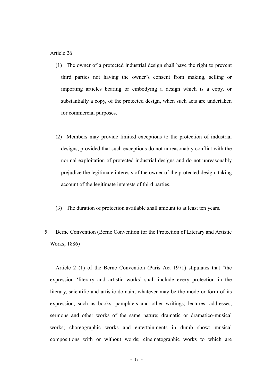#### Article 26

- (1) The owner of a protected industrial design shall have the right to prevent third parties not having the owner's consent from making, selling or importing articles bearing or embodying a design which is a copy, or substantially a copy, of the protected design, when such acts are undertaken for commercial purposes.
- (2) Members may provide limited exceptions to the protection of industrial designs, provided that such exceptions do not unreasonably conflict with the normal exploitation of protected industrial designs and do not unreasonably prejudice the legitimate interests of the owner of the protected design, taking account of the legitimate interests of third parties.
- (3) The duration of protection available shall amount to at least ten years.
- 5. Berne Convention (Berne Convention for the Protection of Literary and Artistic Works, 1886)

Article 2 (1) of the Berne Convention (Paris Act 1971) stipulates that "the expression 'literary and artistic works' shall include every protection in the literary, scientific and artistic domain, whatever may be the mode or form of its expression, such as books, pamphlets and other writings; lectures, addresses, sermons and other works of the same nature; dramatic or dramatico-musical works; choreographic works and entertainments in dumb show; musical compositions with or without words; cinematographic works to which are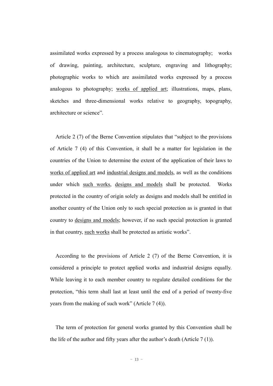assimilated works expressed by a process analogous to cinematography; works of drawing, painting, architecture, sculpture, engraving and lithography; photographic works to which are assimilated works expressed by a process analogous to photography; works of applied art; illustrations, maps, plans, sketches and three-dimensional works relative to geography, topography, architecture or science".

Article 2 (7) of the Berne Convention stipulates that "subject to the provisions of Article 7 (4) of this Convention, it shall be a matter for legislation in the countries of the Union to determine the extent of the application of their laws to works of applied art and industrial designs and models, as well as the conditions under which such works, designs and models shall be protected. Works protected in the country of origin solely as designs and models shall be entitled in another country of the Union only to such special protection as is granted in that country to designs and models; however, if no such special protection is granted in that country, such works shall be protected as artistic works".

According to the provisions of Article 2 (7) of the Berne Convention, it is considered a principle to protect applied works and industrial designs equally. While leaving it to each member country to regulate detailed conditions for the protection, "this term shall last at least until the end of a period of twenty-five years from the making of such work" (Article 7 (4)).

The term of protection for general works granted by this Convention shall be the life of the author and fifty years after the author's death (Article 7 (1)).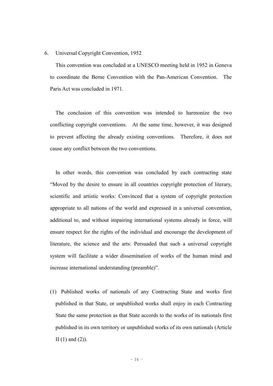#### 6. Universal Copyright Convention, 1952

This convention was concluded at a UNESCO meeting held in 1952 in Geneva to coordinate the Berne Convention with the Pan-American Convention. The Paris Act was concluded in 1971.

The conclusion of this convention was intended to harmonize the two conflicting copyright conventions. At the same time, however, it was designed to prevent affecting the already existing conventions. Therefore, it does not cause any conflict between the two conventions.

In other words, this convention was concluded by each contracting state "Moved by the desire to ensure in all countries copyright protection of literary, scientific and artistic works: Convinced that a system of copyright protection appropriate to all nations of the world and expressed in a universal convention, additional to, and without impairing international systems already in force, will ensure respect for the rights of the individual and encourage the development of literature, the science and the arts: Persuaded that such a universal copyright system will facilitate a wider dissemination of works of the human mind and increase international understanding (preamble)".

(1) Published works of nationals of any Contracting State and works first published in that State, or unpublished works shall enjoy in each Contracting State the same protection as that State accords to the works of its nationals first published in its own territory or unpublished works of its own nationals (Article II  $(1)$  and  $(2)$ ).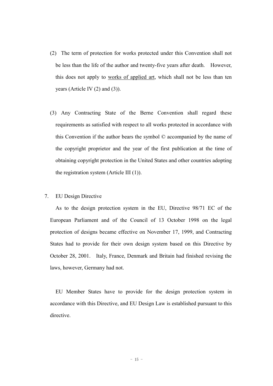- (2) The term of protection for works protected under this Convention shall not be less than the life of the author and twenty-five years after death. However, this does not apply to works of applied art, which shall not be less than ten years (Article IV (2) and (3)).
- (3) Any Contracting State of the Berne Convention shall regard these requirements as satisfied with respect to all works protected in accordance with this Convention if the author bears the symbol © accompanied by the name of the copyright proprietor and the year of the first publication at the time of obtaining copyright protection in the United States and other countries adopting the registration system (Article III (1)).

#### 7. EU Design Directive

As to the design protection system in the EU, Directive 98/71 EC of the European Parliament and of the Council of 13 October 1998 on the legal protection of designs became effective on November 17, 1999, and Contracting States had to provide for their own design system based on this Directive by October 28, 2001. Italy, France, Denmark and Britain had finished revising the laws, however, Germany had not.

EU Member States have to provide for the design protection system in accordance with this Directive, and EU Design Law is established pursuant to this directive.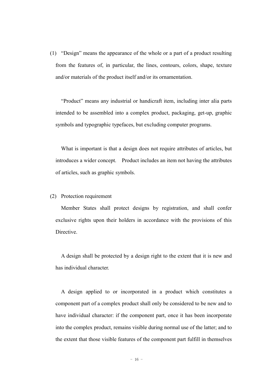(1) "Design" means the appearance of the whole or a part of a product resulting from the features of, in particular, the lines, contours, colors, shape, texture and/or materials of the product itself and/or its ornamentation.

"Product" means any industrial or handicraft item, including inter alia parts intended to be assembled into a complex product, packaging, get-up, graphic symbols and typographic typefaces, but excluding computer programs.

What is important is that a design does not require attributes of articles, but introduces a wider concept. Product includes an item not having the attributes of articles, such as graphic symbols.

#### (2) Protection requirement

Member States shall protect designs by registration, and shall confer exclusive rights upon their holders in accordance with the provisions of this **Directive** 

A design shall be protected by a design right to the extent that it is new and has individual character.

A design applied to or incorporated in a product which constitutes a component part of a complex product shall only be considered to be new and to have individual character: if the component part, once it has been incorporate into the complex product, remains visible during normal use of the latter; and to the extent that those visible features of the component part fulfill in themselves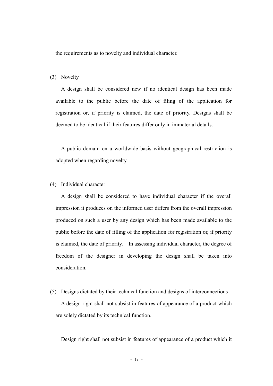the requirements as to novelty and individual character.

#### (3) Novelty

A design shall be considered new if no identical design has been made available to the public before the date of filing of the application for registration or, if priority is claimed, the date of priority. Designs shall be deemed to be identical if their features differ only in immaterial details.

A public domain on a worldwide basis without geographical restriction is adopted when regarding novelty.

#### (4) Individual character

A design shall be considered to have individual character if the overall impression it produces on the informed user differs from the overall impression produced on such a user by any design which has been made available to the public before the date of filling of the application for registration or, if priority is claimed, the date of priority. In assessing individual character, the degree of freedom of the designer in developing the design shall be taken into consideration.

(5) Designs dictated by their technical function and designs of interconnections A design right shall not subsist in features of appearance of a product which are solely dictated by its technical function.

Design right shall not subsist in features of appearance of a product which it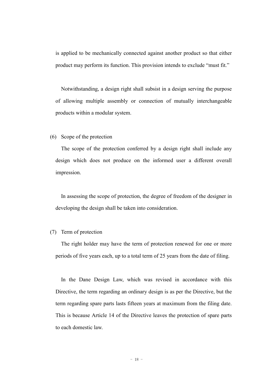is applied to be mechanically connected against another product so that either product may perform its function. This provision intends to exclude "must fit."

Notwithstanding, a design right shall subsist in a design serving the purpose of allowing multiple assembly or connection of mutually interchangeable products within a modular system.

#### (6) Scope of the protection

The scope of the protection conferred by a design right shall include any design which does not produce on the informed user a different overall impression.

In assessing the scope of protection, the degree of freedom of the designer in developing the design shall be taken into consideration.

#### (7) Term of protection

The right holder may have the term of protection renewed for one or more periods of five years each, up to a total term of 25 years from the date of filing.

In the Dane Design Law, which was revised in accordance with this Directive, the term regarding an ordinary design is as per the Directive, but the term regarding spare parts lasts fifteen years at maximum from the filing date. This is because Article 14 of the Directive leaves the protection of spare parts to each domestic law.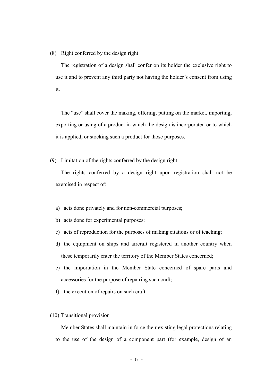(8) Right conferred by the design right

The registration of a design shall confer on its holder the exclusive right to use it and to prevent any third party not having the holder's consent from using it.

The "use" shall cover the making, offering, putting on the market, importing, exporting or using of a product in which the design is incorporated or to which it is applied, or stocking such a product for those purposes.

(9) Limitation of the rights conferred by the design right

The rights conferred by a design right upon registration shall not be exercised in respect of:

- a) acts done privately and for non-commercial purposes;
- b) acts done for experimental purposes;
- c) acts of reproduction for the purposes of making citations or of teaching;
- d) the equipment on ships and aircraft registered in another country when these temporarily enter the territory of the Member States concerned;
- e) the importation in the Member State concerned of spare parts and accessories for the purpose of repairing such craft;
- f) the execution of repairs on such craft.

#### (10) Transitional provision

Member States shall maintain in force their existing legal protections relating to the use of the design of a component part (for example, design of an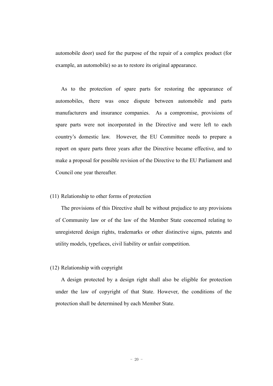automobile door) used for the purpose of the repair of a complex product (for example, an automobile) so as to restore its original appearance.

As to the protection of spare parts for restoring the appearance of automobiles, there was once dispute between automobile and parts manufacturers and insurance companies. As a compromise, provisions of spare parts were not incorporated in the Directive and were left to each country's domestic law. However, the EU Committee needs to prepare a report on spare parts three years after the Directive became effective, and to make a proposal for possible revision of the Directive to the EU Parliament and Council one year thereafter.

#### (11) Relationship to other forms of protection

The provisions of this Directive shall be without prejudice to any provisions of Community law or of the law of the Member State concerned relating to unregistered design rights, trademarks or other distinctive signs, patents and utility models, typefaces, civil liability or unfair competition.

#### (12) Relationship with copyright

A design protected by a design right shall also be eligible for protection under the law of copyright of that State. However, the conditions of the protection shall be determined by each Member State.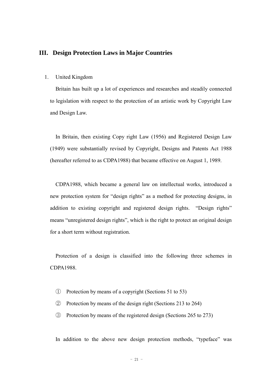#### **III. Design Protection Laws in Major Countries**

#### 1. United Kingdom

Britain has built up a lot of experiences and researches and steadily connected to legislation with respect to the protection of an artistic work by Copyright Law and Design Law.

In Britain, then existing Copy right Law (1956) and Registered Design Law (1949) were substantially revised by Copyright, Designs and Patents Act 1988 (hereafter referred to as CDPA1988) that became effective on August 1, 1989.

CDPA1988, which became a general law on intellectual works, introduced a new protection system for "design rights" as a method for protecting designs, in addition to existing copyright and registered design rights. "Design rights" means "unregistered design rights", which is the right to protect an original design for a short term without registration.

Protection of a design is classified into the following three schemes in CDPA1988.

- ① Protection by means of a copyright (Sections 51 to 53)
- ② Protection by means of the design right (Sections 213 to 264)
- ③ Protection by means of the registered design (Sections 265 to 273)

In addition to the above new design protection methods, "typeface" was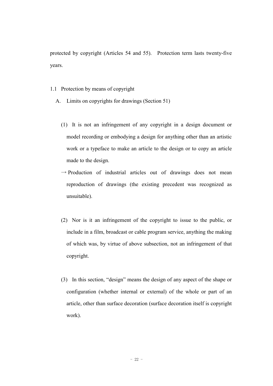protected by copyright (Articles 54 and 55). Protection term lasts twenty-five years.

- 1.1 Protection by means of copyright
	- A. Limits on copyrights for drawings (Section 51)
		- (1) It is not an infringement of any copyright in a design document or model recording or embodying a design for anything other than an artistic work or a typeface to make an article to the design or to copy an article made to the design.
		- $\rightarrow$  Production of industrial articles out of drawings does not mean reproduction of drawings (the existing precedent was recognized as unsuitable).
		- (2) Nor is it an infringement of the copyright to issue to the public, or include in a film, broadcast or cable program service, anything the making of which was, by virtue of above subsection, not an infringement of that copyright.
		- (3) In this section, "design" means the design of any aspect of the shape or configuration (whether internal or external) of the whole or part of an article, other than surface decoration (surface decoration itself is copyright work).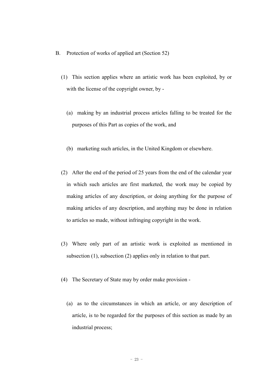- B. Protection of works of applied art (Section 52)
	- (1) This section applies where an artistic work has been exploited, by or with the license of the copyright owner, by -
		- (a) making by an industrial process articles falling to be treated for the purposes of this Part as copies of the work, and
		- (b) marketing such articles, in the United Kingdom or elsewhere.
	- (2) After the end of the period of 25 years from the end of the calendar year in which such articles are first marketed, the work may be copied by making articles of any description, or doing anything for the purpose of making articles of any description, and anything may be done in relation to articles so made, without infringing copyright in the work.
	- (3) Where only part of an artistic work is exploited as mentioned in subsection (1), subsection (2) applies only in relation to that part.
	- (4) The Secretary of State may by order make provision
		- (a) as to the circumstances in which an article, or any description of article, is to be regarded for the purposes of this section as made by an industrial process;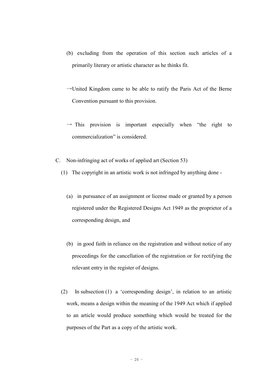- (b) excluding from the operation of this section such articles of a primarily literary or artistic character as he thinks fit.
- $\rightarrow$ United Kingdom came to be able to ratify the Paris Act of the Berne Convention pursuant to this provision.
- $\rightarrow$  This provision is important especially when "the right to commercialization" is considered.
- C. Non-infringing act of works of applied art (Section 53)
	- (1) The copyright in an artistic work is not infringed by anything done
		- (a) in pursuance of an assignment or license made or granted by a person registered under the Registered Designs Act 1949 as the proprietor of a corresponding design, and
		- (b) in good faith in reliance on the registration and without notice of any proceedings for the cancellation of the registration or for rectifying the relevant entry in the register of designs.
	- (2) In subsection (1) a 'corresponding design', in relation to an artistic work, means a design within the meaning of the 1949 Act which if applied to an article would produce something which would be treated for the purposes of the Part as a copy of the artistic work.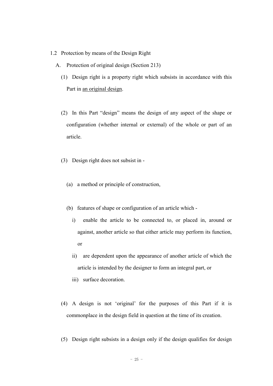- 1.2 Protection by means of the Design Right
	- A. Protection of original design (Section 213)
		- (1) Design right is a property right which subsists in accordance with this Part in an original design.
		- (2) In this Part "design" means the design of any aspect of the shape or configuration (whether internal or external) of the whole or part of an article.
		- (3) Design right does not subsist in
			- (a) a method or principle of construction,
			- (b) features of shape or configuration of an article which
				- i) enable the article to be connected to, or placed in, around or against, another article so that either article may perform its function, or
				- ii) are dependent upon the appearance of another article of which the article is intended by the designer to form an integral part, or
				- iii) surface decoration.
		- (4) A design is not 'original' for the purposes of this Part if it is commonplace in the design field in question at the time of its creation.
		- (5) Design right subsists in a design only if the design qualifies for design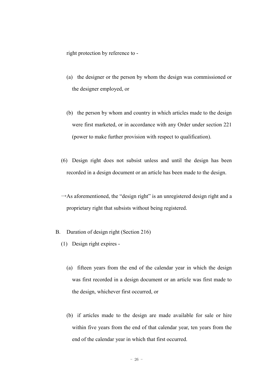right protection by reference to -

- (a) the designer or the person by whom the design was commissioned or the designer employed, or
- (b) the person by whom and country in which articles made to the design were first marketed, or in accordance with any Order under section 221 (power to make further provision with respect to qualification).
- (6) Design right does not subsist unless and until the design has been recorded in a design document or an article has been made to the design.
- $\rightarrow$ As aforementioned, the "design right" is an unregistered design right and a proprietary right that subsists without being registered.
- B. Duration of design right (Section 216)
	- (1) Design right expires
		- (a) fifteen years from the end of the calendar year in which the design was first recorded in a design document or an article was first made to the design, whichever first occurred, or
		- (b) if articles made to the design are made available for sale or hire within five years from the end of that calendar year, ten years from the end of the calendar year in which that first occurred.

 $- 26 -$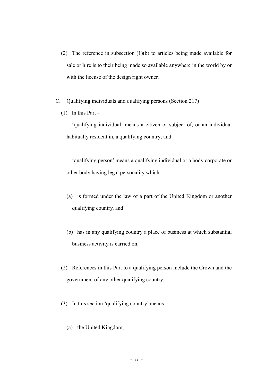- (2) The reference in subsection (1)(b) to articles being made available for sale or hire is to their being made so available anywhere in the world by or with the license of the design right owner.
- C. Qualifying individuals and qualifying persons (Section 217)
	- (1) In this Part –

'qualifying individual' means a citizen or subject of, or an individual habitually resident in, a qualifying country; and

'qualifying person' means a qualifying individual or a body corporate or other body having legal personality which –

- (a) is formed under the law of a part of the United Kingdom or another qualifying country, and
- (b) has in any qualifying country a place of business at which substantial business activity is carried on.
- (2) References in this Part to a qualifying person include the Crown and the government of any other qualifying country.
- (3) In this section 'qualifying country' means
	- (a) the United Kingdom,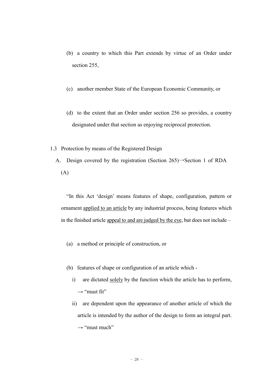- (b) a country to which this Part extends by virtue of an Order under section 255,
- (c) another member State of the European Economic Community, or
- (d) to the extent that an Order under section 256 so provides, a country designated under that section as enjoying reciprocal protection.
- 1.3 Protection by means of the Registered Design
	- A. Design covered by the registration (Section 265)→Section 1 of RDA (A)

"In this Act 'design' means features of shape, configuration, pattern or ornament applied to an article by any industrial process, being features which in the finished article appeal to and are judged by the eye, but does not include –

- (a) a method or principle of construction, or
- (b) features of shape or configuration of an article which
	- i) are dictated solely by the function which the article has to perform,  $\rightarrow$  "must fit"
	- ii) are dependent upon the appearance of another article of which the article is intended by the author of the design to form an integral part.  $\rightarrow$  "must much"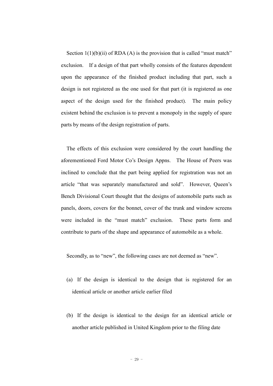Section  $1(1)(b)(ii)$  of RDA (A) is the provision that is called "must match" exclusion. If a design of that part wholly consists of the features dependent upon the appearance of the finished product including that part, such a design is not registered as the one used for that part (it is registered as one aspect of the design used for the finished product). The main policy existent behind the exclusion is to prevent a monopoly in the supply of spare parts by means of the design registration of parts.

The effects of this exclusion were considered by the court handling the aforementioned Ford Motor Co's Design Appns. The House of Peers was inclined to conclude that the part being applied for registration was not an article "that was separately manufactured and sold". However, Queen's Bench Divisional Court thought that the designs of automobile parts such as panels, doors, covers for the bonnet, cover of the trunk and window screens were included in the "must match" exclusion. These parts form and contribute to parts of the shape and appearance of automobile as a whole.

Secondly, as to "new", the following cases are not deemed as "new".

- (a) If the design is identical to the design that is registered for an identical article or another article earlier filed
- (b) If the design is identical to the design for an identical article or another article published in United Kingdom prior to the filing date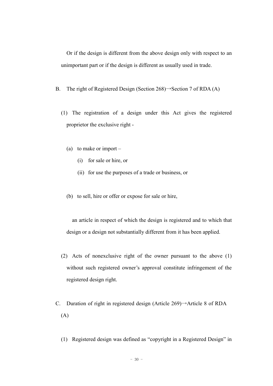Or if the design is different from the above design only with respect to an unimportant part or if the design is different as usually used in trade.

- B. The right of Registered Design (Section 268) $\rightarrow$ Section 7 of RDA (A)
	- (1) The registration of a design under this Act gives the registered proprietor the exclusive right -
		- (a) to make or import
			- (i) for sale or hire, or
			- (ii) for use the purposes of a trade or business, or
		- (b) to sell, hire or offer or expose for sale or hire,

an article in respect of which the design is registered and to which that design or a design not substantially different from it has been applied.

- (2) Acts of nonexclusive right of the owner pursuant to the above (1) without such registered owner's approval constitute infringement of the registered design right.
- C. Duration of right in registered design (Article 269)→Article 8 of RDA (A)
	- (1) Registered design was defined as "copyright in a Registered Design" in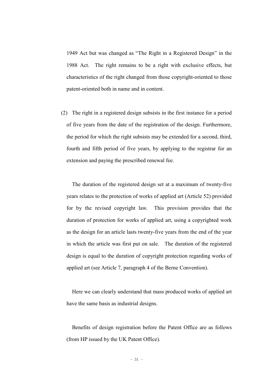1949 Act but was changed as "The Right in a Registered Design" in the 1988 Act. The right remains to be a right with exclusive effects, but characteristics of the right changed from those copyright-oriented to those patent-oriented both in name and in content.

(2) The right in a registered design subsists in the first instance for a period of five years from the date of the registration of the design. Furthermore, the period for which the right subsists may be extended for a second, third, fourth and fifth period of five years, by applying to the registrar for an extension and paying the prescribed renewal fee.

The duration of the registered design set at a maximum of twenty-five years relates to the protection of works of applied art (Article 52) provided for by the revised copyright law. This provision provides that the duration of protection for works of applied art, using a copyrighted work as the design for an article lasts twenty-five years from the end of the year in which the article was first put on sale. The duration of the registered design is equal to the duration of copyright protection regarding works of applied art (see Article 7, paragraph 4 of the Berne Convention).

Here we can clearly understand that mass produced works of applied art have the same basis as industrial designs.

Benefits of design registration before the Patent Office are as follows (from HP issued by the UK Patent Office).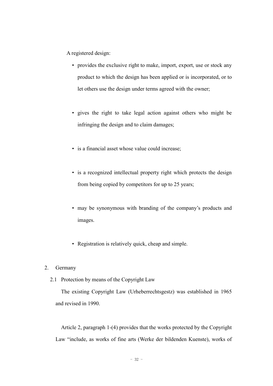A registered design:

- provides the exclusive right to make, import, export, use or stock any product to which the design has been applied or is incorporated, or to let others use the design under terms agreed with the owner;
- gives the right to take legal action against others who might be infringing the design and to claim damages;
- is a financial asset whose value could increase;
- is a recognized intellectual property right which protects the design from being copied by competitors for up to 25 years;
- may be synonymous with branding of the company's products and images.
- Registration is relatively quick, cheap and simple.

#### 2. Germany

2.1 Protection by means of the Copyright Law

The existing Copyright Law (Urheberrechtsgestz) was established in 1965 and revised in 1990.

Article 2, paragraph 1-(4) provides that the works protected by the Copyright Law "include, as works of fine arts (Werke der bildenden Kuenste), works of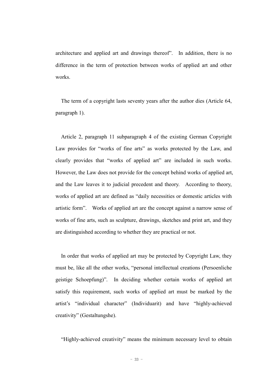architecture and applied art and drawings thereof". In addition, there is no difference in the term of protection between works of applied art and other works.

The term of a copyright lasts seventy years after the author dies (Article 64, paragraph 1).

Article 2, paragraph 11 subparagraph 4 of the existing German Copyright Law provides for "works of fine arts" as works protected by the Law, and clearly provides that "works of applied art" are included in such works. However, the Law does not provide for the concept behind works of applied art, and the Law leaves it to judicial precedent and theory. According to theory, works of applied art are defined as "daily necessities or domestic articles with artistic form". Works of applied art are the concept against a narrow sense of works of fine arts, such as sculpture, drawings, sketches and print art, and they are distinguished according to whether they are practical or not.

In order that works of applied art may be protected by Copyright Law, they must be, like all the other works, "personal intellectual creations (Persoenliche geistige Schoepfung)". In deciding whether certain works of applied art satisfy this requirement, such works of applied art must be marked by the artist's "individual character" (Individuarit) and have "highly-achieved creativity" (Gestaltungshe).

"Highly-achieved creativity" means the minimum necessary level to obtain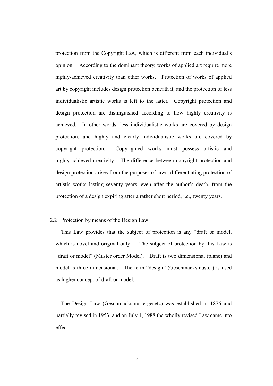protection from the Copyright Law, which is different from each individual's opinion. According to the dominant theory, works of applied art require more highly-achieved creativity than other works. Protection of works of applied art by copyright includes design protection beneath it, and the protection of less individualistic artistic works is left to the latter. Copyright protection and design protection are distinguished according to how highly creativity is achieved. In other words, less individualistic works are covered by design protection, and highly and clearly individualistic works are covered by copyright protection. Copyrighted works must possess artistic and highly-achieved creativity. The difference between copyright protection and design protection arises from the purposes of laws, differentiating protection of artistic works lasting seventy years, even after the author's death, from the protection of a design expiring after a rather short period, i.e., twenty years.

#### 2.2 Protection by means of the Design Law

This Law provides that the subject of protection is any "draft or model, which is novel and original only". The subject of protection by this Law is "draft or model" (Muster order Model). Draft is two dimensional (plane) and model is three dimensional. The term "design" (Geschmacksmuster) is used as higher concept of draft or model.

The Design Law (Geschmacksmustergesetz) was established in 1876 and partially revised in 1953, and on July 1, 1988 the wholly revised Law came into effect.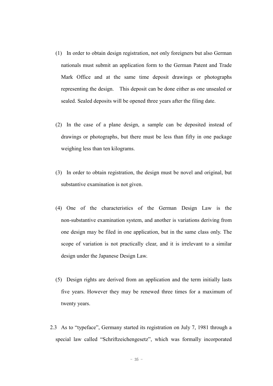- (1) In order to obtain design registration, not only foreigners but also German nationals must submit an application form to the German Patent and Trade Mark Office and at the same time deposit drawings or photographs representing the design. This deposit can be done either as one unsealed or sealed. Sealed deposits will be opened three years after the filing date.
- (2) In the case of a plane design, a sample can be deposited instead of drawings or photographs, but there must be less than fifty in one package weighing less than ten kilograms.
- (3) In order to obtain registration, the design must be novel and original, but substantive examination is not given.
- (4) One of the characteristics of the German Design Law is the non-substantive examination system, and another is variations deriving from one design may be filed in one application, but in the same class only. The scope of variation is not practically clear, and it is irrelevant to a similar design under the Japanese Design Law.
- (5) Design rights are derived from an application and the term initially lasts five years. However they may be renewed three times for a maximum of twenty years.
- 2.3 As to "typeface", Germany started its registration on July 7, 1981 through a special law called "Schriftzeichengesetz", which was formally incorporated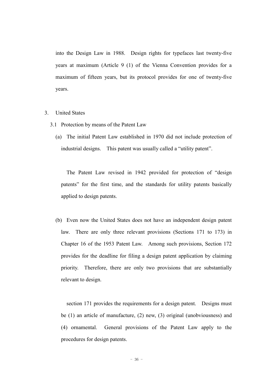into the Design Law in 1988. Design rights for typefaces last twenty-five years at maximum (Article 9 (1) of the Vienna Convention provides for a maximum of fifteen years, but its protocol provides for one of twenty-five years.

- 3. United States
	- 3.1 Protection by means of the Patent Law
		- (a) The initial Patent Law established in 1970 did not include protection of industrial designs. This patent was usually called a "utility patent".

The Patent Law revised in 1942 provided for protection of "design patents" for the first time, and the standards for utility patents basically applied to design patents.

(b) Even now the United States does not have an independent design patent law. There are only three relevant provisions (Sections 171 to 173) in Chapter 16 of the 1953 Patent Law. Among such provisions, Section 172 provides for the deadline for filing a design patent application by claiming priority. Therefore, there are only two provisions that are substantially relevant to design.

section 171 provides the requirements for a design patent. Designs must be (1) an article of manufacture, (2) new, (3) original (unobviousness) and (4) ornamental. General provisions of the Patent Law apply to the procedures for design patents.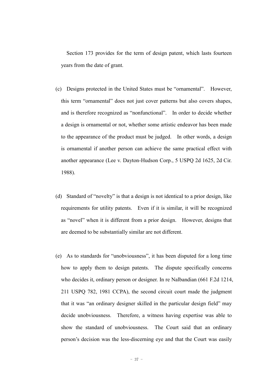Section 173 provides for the term of design patent, which lasts fourteen years from the date of grant.

- (c) Designs protected in the United States must be "ornamental". However, this term "ornamental" does not just cover patterns but also covers shapes, and is therefore recognized as "nonfunctional". In order to decide whether a design is ornamental or not, whether some artistic endeavor has been made to the appearance of the product must be judged. In other words, a design is ornamental if another person can achieve the same practical effect with another appearance (Lee v. Dayton-Hudson Corp., 5 USPQ 2d 1625, 2d Cir. 1988).
- (d) Standard of "novelty" is that a design is not identical to a prior design, like requirements for utility patents. Even if it is similar, it will be recognized as "novel" when it is different from a prior design. However, designs that are deemed to be substantially similar are not different.
- (e) As to standards for "unobviousness", it has been disputed for a long time how to apply them to design patents. The dispute specifically concerns who decides it, ordinary person or designer. In re Nalbandian (661 F.2d 1214, 211 USPQ 782, 1981 CCPA), the second circuit court made the judgment that it was "an ordinary designer skilled in the particular design field" may decide unobviousness. Therefore, a witness having expertise was able to show the standard of unobviousness. The Court said that an ordinary person's decision was the less-discerning eye and that the Court was easily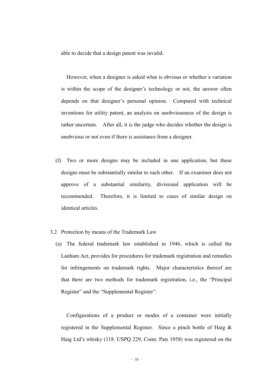able to decide that a design patent was invalid.

However, when a designer is asked what is obvious or whether a variation is within the scope of the designer's technology or not, the answer often depends on that designer's personal opinion. Compared with technical inventions for utility patent, an analysis on unobviousness of the design is rather uncertain. After all, it is the judge who decides whether the design is unobvious or not even if there is assistance from a designer.

- (f) Two or more designs may be included in one application, but these designs must be substantially similar to each other. If an examiner does not approve of a substantial similarity, divisional application will be recommended. Therefore, it is limited to cases of similar design on identical articles.
- 3.2 Protection by means of the Trademark Law
	- (a) The federal trademark law established in 1946, which is called the Lanham Act, provides for procedures for trademark registration and remedies for infringements on trademark rights. Major characteristics thereof are that there are two methods for trademark registration, i.e., the "Principal Register" and the "Supplemental Register".

Configurations of a product or modes of a container were initially registered in the Supplemental Register. Since a pinch bottle of Haig & Haig Ltd's whisky (118. USPQ 229, Comr. Pats 1958) was registered on the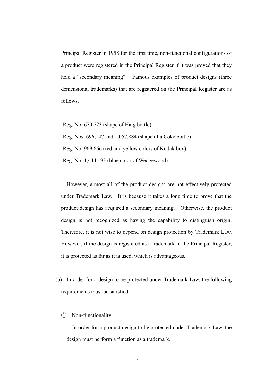Principal Register in 1958 for the first time, non-functional configurations of a product were registered in the Principal Register if it was proved that they held a "secondary meaning". Famous examples of product designs (three demensional trademarks) that are registered on the Principal Register are as follows.

-Reg. No. 670,723 (shape of Haig bottle)

-Reg. Nos. 696,147 and 1,057,884 (shape of a Coke bottle)

-Reg. No. 969,666 (red and yellow colors of Kodak box)

-Reg. No. 1,444,193 (blue color of Wedgewood)

However, almost all of the product designs are not effectively protected under Trademark Law. It is because it takes a long time to prove that the product design has acquired a secondary meaning. Otherwise, the product design is not recognized as having the capability to distinguish origin. Therefore, it is not wise to depend on design protection by Trademark Law. However, if the design is registered as a trademark in the Principal Register, it is protected as far as it is used, which is advantageous.

- (b) In order for a design to be protected under Trademark Law, the following requirements must be satisfied.
	- ① Non-functionality

In order for a product design to be protected under Trademark Law, the design must perform a function as a trademark.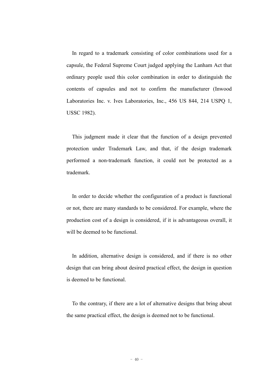In regard to a trademark consisting of color combinations used for a capsule, the Federal Supreme Court judged applying the Lanham Act that ordinary people used this color combination in order to distinguish the contents of capsules and not to confirm the manufacturer (Inwood Laboratories Inc. v. Ives Laboratories, Inc., 456 US 844, 214 USPQ 1, USSC 1982).

This judgment made it clear that the function of a design prevented protection under Trademark Law, and that, if the design trademark performed a non-trademark function, it could not be protected as a trademark.

In order to decide whether the configuration of a product is functional or not, there are many standards to be considered. For example, where the production cost of a design is considered, if it is advantageous overall, it will be deemed to be functional.

In addition, alternative design is considered, and if there is no other design that can bring about desired practical effect, the design in question is deemed to be functional.

To the contrary, if there are a lot of alternative designs that bring about the same practical effect, the design is deemed not to be functional.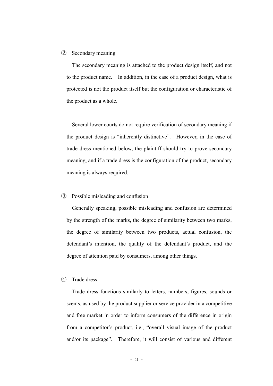#### ② Secondary meaning

The secondary meaning is attached to the product design itself, and not to the product name. In addition, in the case of a product design, what is protected is not the product itself but the configuration or characteristic of the product as a whole.

Several lower courts do not require verification of secondary meaning if the product design is "inherently distinctive". However, in the case of trade dress mentioned below, the plaintiff should try to prove secondary meaning, and if a trade dress is the configuration of the product, secondary meaning is always required.

#### ③ Possible misleading and confusion

Generally speaking, possible misleading and confusion are determined by the strength of the marks, the degree of similarity between two marks, the degree of similarity between two products, actual confusion, the defendant's intention, the quality of the defendant's product, and the degree of attention paid by consumers, among other things.

#### ④ Trade dress

Trade dress functions similarly to letters, numbers, figures, sounds or scents, as used by the product supplier or service provider in a competitive and free market in order to inform consumers of the difference in origin from a competitor's product, i.e., "overall visual image of the product and/or its package". Therefore, it will consist of various and different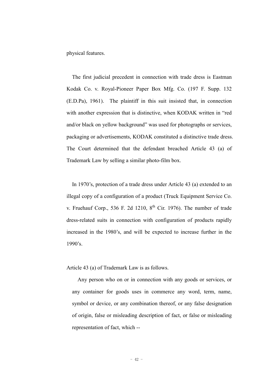physical features.

The first judicial precedent in connection with trade dress is Eastman Kodak Co. v. Royal-Pioneer Paper Box Mfg. Co. (197 F. Supp. 132 (E.D.Pa), 1961). The plaintiff in this suit insisted that, in connection with another expression that is distinctive, when KODAK written in "red and/or black on yellow background" was used for photographs or services, packaging or advertisements, KODAK constituted a distinctive trade dress. The Court determined that the defendant breached Article 43 (a) of Trademark Law by selling a similar photo-film box.

In 1970's, protection of a trade dress under Article 43 (a) extended to an illegal copy of a configuration of a product (Truck Equipment Service Co. v. Fruehauf Corp., 536 F. 2d 1210,  $8^{th}$  Cir. 1976). The number of trade dress-related suits in connection with configuration of products rapidly increased in the 1980's, and will be expected to increase further in the 1990's.

Article 43 (a) of Trademark Law is as follows.

Any person who on or in connection with any goods or services, or any container for goods uses in commerce any word, term, name, symbol or device, or any combination thereof, or any false designation of origin, false or misleading description of fact, or false or misleading representation of fact, which --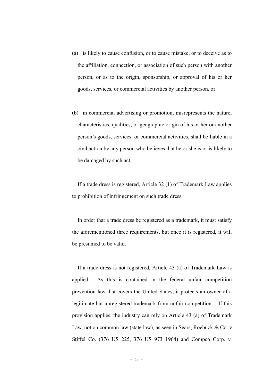- (a) is likely to cause confusion, or to cause mistake, or to deceive as to the affiliation, connection, or association of such person with another person, or as to the origin, sponsorship, or approval of his or her goods, services, or commercial activities by another person, or
- (b) in commercial advertising or promotion, misrepresents the nature, characteristics, qualities, or geographic origin of his or her or another person's goods, services, or commercial activities, shall be liable in a civil action by any person who believes that he or she is or is likely to be damaged by such act.

If a trade dress is registered, Article 32 (1) of Trademark Law applies to prohibition of infringement on such trade dress.

In order that a trade dress be registered as a trademark, it must satisfy the aforementioned three requirements, but once it is registered, it will be presumed to be valid.

If a trade dress is not registered, Article 43 (a) of Trademark Law is applied. As this is contained in the federal unfair competition prevention law that covers the United States, it protects an owner of a legitimate but unregistered trademark from unfair competition. If this provision applies, the industry can rely on Article 43 (a) of Trademark Law, not on common law (state law), as seen in Sears, Roebuck & Co. v. Stiffel Co. (376 US 225, 376 US 973 1964) and Compco Corp. v.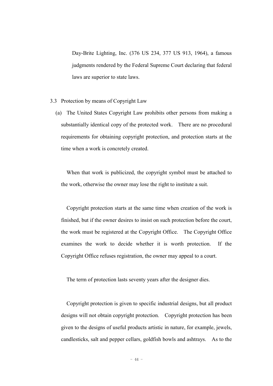Day-Brite Lighting, Inc. (376 US 234, 377 US 913, 1964), a famous judgments rendered by the Federal Supreme Court declaring that federal laws are superior to state laws.

- 3.3 Protection by means of Copyright Law
	- (a) The United States Copyright Law prohibits other persons from making a substantially identical copy of the protected work. There are no procedural requirements for obtaining copyright protection, and protection starts at the time when a work is concretely created.

When that work is publicized, the copyright symbol must be attached to the work, otherwise the owner may lose the right to institute a suit.

Copyright protection starts at the same time when creation of the work is finished, but if the owner desires to insist on such protection before the court, the work must be registered at the Copyright Office. The Copyright Office examines the work to decide whether it is worth protection. If the Copyright Office refuses registration, the owner may appeal to a court.

The term of protection lasts seventy years after the designer dies.

Copyright protection is given to specific industrial designs, but all product designs will not obtain copyright protection. Copyright protection has been given to the designs of useful products artistic in nature, for example, jewels, candlesticks, salt and pepper cellars, goldfish bowls and ashtrays. As to the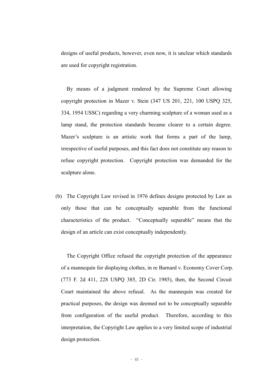designs of useful products, however, even now, it is unclear which standards are used for copyright registration.

By means of a judgment rendered by the Supreme Court allowing copyright protection in Mazer v. Stein (347 US 201, 221, 100 USPQ 325, 334, 1954 USSC) regarding a very charming sculpture of a woman used as a lamp stand, the protection standards became clearer to a certain degree. Mazer's sculpture is an artistic work that forms a part of the lamp, irrespective of useful purposes, and this fact does not constitute any reason to refuse copyright protection. Copyright protection was demanded for the sculpture alone.

(b) The Copyright Law revised in 1976 defines designs protected by Law as only those that can be conceptually separable from the functional characteristics of the product. "Conceptually separable" means that the design of an article can exist conceptually independently.

The Copyright Office refused the copyright protection of the appearance of a mannequin for displaying clothes, in re Barnard v. Economy Cover Corp. (773 F. 2d 411, 228 USPQ 385, 2D Cir. 1985), then, the Second Circuit Court maintained the above refusal. As the mannequin was created for practical purposes, the design was deemed not to be conceptually separable from configuration of the useful product. Therefore, according to this interpretation, the Copyright Law applies to a very limited scope of industrial design protection.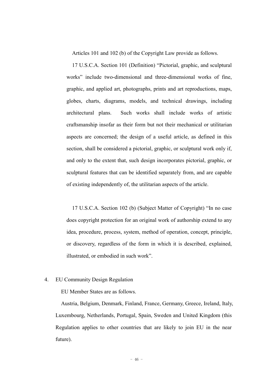Articles 101 and 102 (b) of the Copyright Law provide as follows.

17 U.S.C.A. Section 101 (Definition) "Pictorial, graphic, and sculptural works" include two-dimensional and three-dimensional works of fine, graphic, and applied art, photographs, prints and art reproductions, maps, globes, charts, diagrams, models, and technical drawings, including architectural plans. Such works shall include works of artistic craftsmanship insofar as their form but not their mechanical or utilitarian aspects are concerned; the design of a useful article, as defined in this section, shall be considered a pictorial, graphic, or sculptural work only if, and only to the extent that, such design incorporates pictorial, graphic, or sculptural features that can be identified separately from, and are capable of existing independently of, the utilitarian aspects of the article.

17 U.S.C.A. Section 102 (b) (Subject Matter of Copyright) "In no case does copyright protection for an original work of authorship extend to any idea, procedure, process, system, method of operation, concept, principle, or discovery, regardless of the form in which it is described, explained, illustrated, or embodied in such work".

#### 4. EU Community Design Regulation

EU Member States are as follows.

Austria, Belgium, Denmark, Finland, France, Germany, Greece, Ireland, Italy, Luxembourg, Netherlands, Portugal, Spain, Sweden and United Kingdom (this Regulation applies to other countries that are likely to join EU in the near future).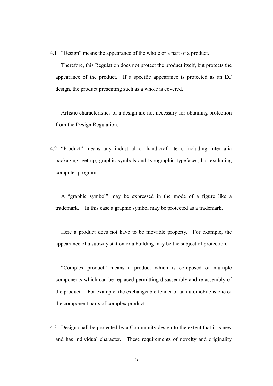4.1 "Design" means the appearance of the whole or a part of a product.

Therefore, this Regulation does not protect the product itself, but protects the appearance of the product. If a specific appearance is protected as an EC design, the product presenting such as a whole is covered.

Artistic characteristics of a design are not necessary for obtaining protection from the Design Regulation.

4.2 "Product" means any industrial or handicraft item, including inter alia packaging, get-up, graphic symbols and typographic typefaces, but excluding computer program.

A "graphic symbol" may be expressed in the mode of a figure like a trademark. In this case a graphic symbol may be protected as a trademark.

Here a product does not have to be movable property. For example, the appearance of a subway station or a building may be the subject of protection.

"Complex product" means a product which is composed of multiple components which can be replaced permitting disassembly and re-assembly of the product. For example, the exchangeable fender of an automobile is one of the component parts of complex product.

4.3 Design shall be protected by a Community design to the extent that it is new and has individual character. These requirements of novelty and originality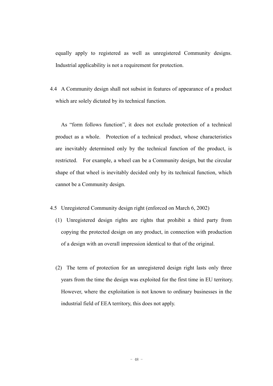equally apply to registered as well as unregistered Community designs. Industrial applicability is not a requirement for protection.

4.4 A Community design shall not subsist in features of appearance of a product which are solely dictated by its technical function.

As "form follows function", it does not exclude protection of a technical product as a whole. Protection of a technical product, whose characteristics are inevitably determined only by the technical function of the product, is restricted. For example, a wheel can be a Community design, but the circular shape of that wheel is inevitably decided only by its technical function, which cannot be a Community design.

- 4.5 Unregistered Community design right (enforced on March 6, 2002)
	- (1) Unregistered design rights are rights that prohibit a third party from copying the protected design on any product, in connection with production of a design with an overall impression identical to that of the original.
	- (2) The term of protection for an unregistered design right lasts only three years from the time the design was exploited for the first time in EU territory. However, where the exploitation is not known to ordinary businesses in the industrial field of EEA territory, this does not apply.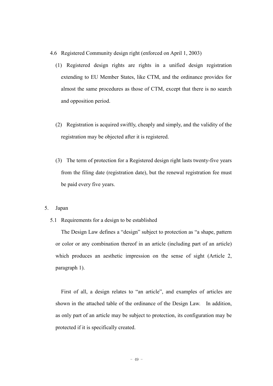- 4.6 Registered Community design right (enforced on April 1, 2003)
	- (1) Registered design rights are rights in a unified design registration extending to EU Member States, like CTM, and the ordinance provides for almost the same procedures as those of CTM, except that there is no search and opposition period.
	- (2) Registration is acquired swiftly, cheaply and simply, and the validity of the registration may be objected after it is registered.
	- (3) The term of protection for a Registered design right lasts twenty-five years from the filing date (registration date), but the renewal registration fee must be paid every five years.
- 5. Japan
	- 5.1 Requirements for a design to be established

The Design Law defines a "design" subject to protection as "a shape, pattern or color or any combination thereof in an article (including part of an article) which produces an aesthetic impression on the sense of sight (Article 2, paragraph 1).

First of all, a design relates to "an article", and examples of articles are shown in the attached table of the ordinance of the Design Law. In addition, as only part of an article may be subject to protection, its configuration may be protected if it is specifically created.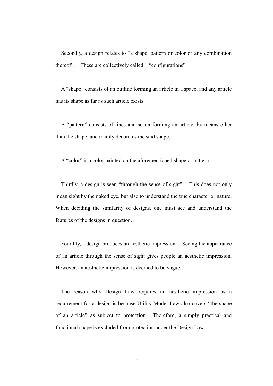Secondly, a design relates to "a shape, pattern or color or any combination thereof". These are collectively called "configurations".

A "shape" consists of an outline forming an article in a space, and any article has its shape as far as such article exists.

A "pattern" consists of lines and so on forming an article, by means other than the shape, and mainly decorates the said shape.

A "color" is a color painted on the aforementioned shape or pattern.

Thirdly, a design is seen "through the sense of sight". This does not only mean sight by the naked eye, but also to understand the true character or nature. When deciding the similarity of designs, one must see and understand the features of the designs in question.

Fourthly, a design produces an aesthetic impression. Seeing the appearance of an article through the sense of sight gives people an aesthetic impression. However, an aesthetic impression is deemed to be vague.

The reason why Design Law requires an aesthetic impression as a requirement for a design is because Utility Model Law also covers "the shape of an article" as subject to protection. Therefore, a simply practical and functional shape is excluded from protection under the Design Law.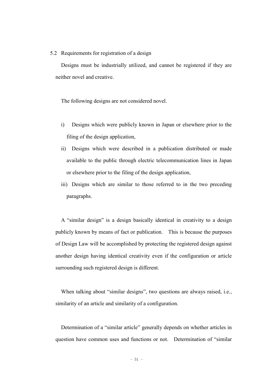#### 5.2 Requirements for registration of a design

Designs must be industrially utilized, and cannot be registered if they are neither novel and creative.

The following designs are not considered novel.

- i) Designs which were publicly known in Japan or elsewhere prior to the filing of the design application,
- ii) Designs which were described in a publication distributed or made available to the public through electric telecommunication lines in Japan or elsewhere prior to the filing of the design application,
- iii) Designs which are similar to those referred to in the two preceding paragraphs.

A "similar design" is a design basically identical in creativity to a design publicly known by means of fact or publication. This is because the purposes of Design Law will be accomplished by protecting the registered design against another design having identical creativity even if the configuration or article surrounding such registered design is different.

When talking about "similar designs", two questions are always raised, i.e., similarity of an article and similarity of a configuration.

Determination of a "similar article" generally depends on whether articles in question have common uses and functions or not. Determination of "similar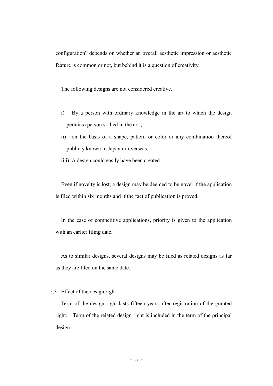configuration" depends on whether an overall aesthetic impression or aesthetic feature is common or not, but behind it is a question of creativity.

The following designs are not considered creative.

- i) By a person with ordinary knowledge in the art to which the design pertains (person skilled in the art),
- ii) on the basis of a shape, pattern or color or any combination thereof publicly known in Japan or overseas,
- iiii) A design could easily have been created.

Even if novelty is lost, a design may be deemed to be novel if the application is filed within six months and if the fact of publication is proved.

In the case of competitive applications, priority is given to the application with an earlier filing date.

As to similar designs, several designs may be filed as related designs as far as they are filed on the same date.

#### 5.3 Effect of the design right

Term of the design right lasts fifteen years after registration of the granted right. Term of the related design right is included in the term of the principal design.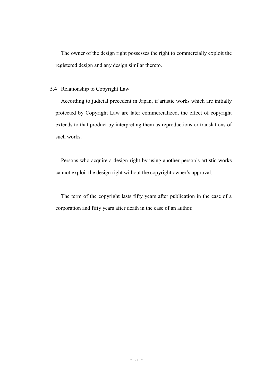The owner of the design right possesses the right to commercially exploit the registered design and any design similar thereto.

#### 5.4 Relationship to Copyright Law

According to judicial precedent in Japan, if artistic works which are initially protected by Copyright Law are later commercialized, the effect of copyright extends to that product by interpreting them as reproductions or translations of such works.

Persons who acquire a design right by using another person's artistic works cannot exploit the design right without the copyright owner's approval.

The term of the copyright lasts fifty years after publication in the case of a corporation and fifty years after death in the case of an author.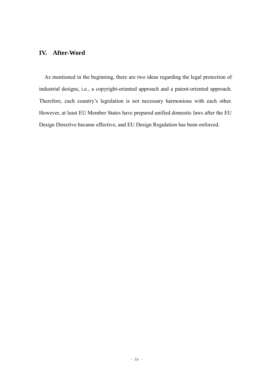## **IV. After-Word**

As mentioned in the beginning, there are two ideas regarding the legal protection of industrial designs, i.e., a copyright-oriented approach and a patent-oriented approach. Therefore, each country's legislation is not necessary harmonious with each other. However, at least EU Member States have prepared unified domestic laws after the EU Design Directive became effective, and EU Design Regulation has been enforced.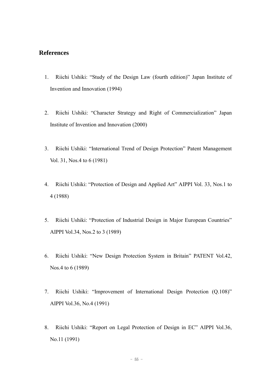### **References**

- 1. Riichi Ushiki: "Study of the Design Law (fourth edition)" Japan Institute of Invention and Innovation (1994)
- 2. Riichi Ushiki: "Character Strategy and Right of Commercialization" Japan Institute of Invention and Innovation (2000)
- 3. Riichi Ushiki: "International Trend of Design Protection" Patent Management Vol. 31, Nos.4 to 6 (1981)
- 4. Riichi Ushiki: "Protection of Design and Applied Art" AIPPI Vol. 33, Nos.1 to 4 (1988)
- 5. Riichi Ushiki: "Protection of Industrial Design in Major European Countries" AIPPI Vol.34, Nos.2 to 3 (1989)
- 6. Riichi Ushiki: "New Design Protection System in Britain" PATENT Vol.42, Nos.4 to 6 (1989)
- 7. Riichi Ushiki: "Improvement of International Design Protection (Q.108)" AIPPI Vol.36, No.4 (1991)
- 8. Riichi Ushiki: "Report on Legal Protection of Design in EC" AIPPI Vol.36, No.11 (1991)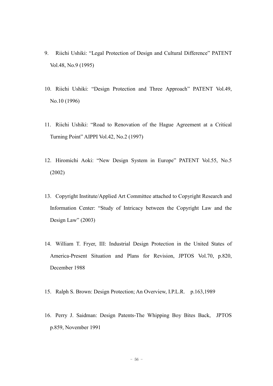- 9. Riichi Ushiki: "Legal Protection of Design and Cultural Difference" PATENT Vol.48, No.9 (1995)
- 10. Riichi Ushiki: "Design Protection and Three Approach" PATENT Vol.49, No.10 (1996)
- 11. Riichi Ushiki: "Road to Renovation of the Hague Agreement at a Critical Turning Point" AIPPI Vol.42, No.2 (1997)
- 12. Hiromichi Aoki: "New Design System in Europe" PATENT Vol.55, No.5 (2002)
- 13. Copyright Institute/Applied Art Committee attached to Copyright Research and Information Center: "Study of Intricacy between the Copyright Law and the Design Law"  $(2003)$
- 14. William T. Fryer, III: Industrial Design Protection in the United States of America-Present Situation and Plans for Revision, JPTOS Vol.70, p.820, December 1988
- 15. Ralph S. Brown: Design Protection; An Overview, I.P.L.R. p.163,1989
- 16. Perry J. Saidman: Design Patents-The Whipping Boy Bites Back, JPTOS p.859, November 1991